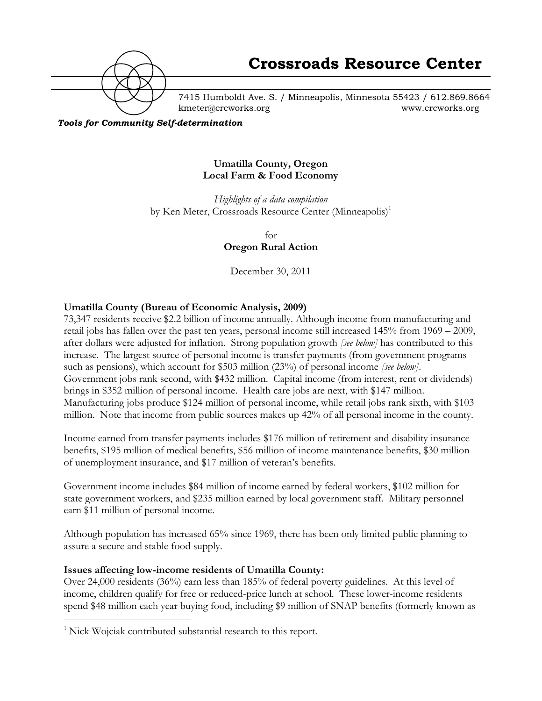

7415 Humboldt Ave. S. / Minneapolis, Minnesota 55423 / 612.869.8664 kmeter@crcworks.org www.crcworks.org

*Tools for Community Self-determination*

#### **Umatilla County, Oregon Local Farm & Food Economy**

*Highlights of a data compilation* by Ken Meter, Crossroads Resource Center (Minneapolis)<sup>1</sup>

> for **Oregon Rural Action**

December 30, 2011

## **Umatilla County (Bureau of Economic Analysis, 2009)**

73,347 residents receive \$2.2 billion of income annually. Although income from manufacturing and retail jobs has fallen over the past ten years, personal income still increased 145% from 1969 – 2009, after dollars were adjusted for inflation. Strong population growth *[see below]* has contributed to this increase. The largest source of personal income is transfer payments (from government programs such as pensions), which account for \$503 million (23%) of personal income *[see below]*. Government jobs rank second, with \$432 million. Capital income (from interest, rent or dividends) brings in \$352 million of personal income. Health care jobs are next, with \$147 million. Manufacturing jobs produce \$124 million of personal income, while retail jobs rank sixth, with \$103 million. Note that income from public sources makes up 42% of all personal income in the county.

Income earned from transfer payments includes \$176 million of retirement and disability insurance benefits, \$195 million of medical benefits, \$56 million of income maintenance benefits, \$30 million of unemployment insurance, and \$17 million of veteran's benefits.

Government income includes \$84 million of income earned by federal workers, \$102 million for state government workers, and \$235 million earned by local government staff. Military personnel earn \$11 million of personal income.

Although population has increased 65% since 1969, there has been only limited public planning to assure a secure and stable food supply.

## **Issues affecting low-income residents of Umatilla County:**

Over 24,000 residents (36%) earn less than 185% of federal poverty guidelines. At this level of income, children qualify for free or reduced-price lunch at school. These lower-income residents spend \$48 million each year buying food, including \$9 million of SNAP benefits (formerly known as

 $\frac{1}{1}$  $\frac{1}{1}$  Nick Wojciak contributed substantial research to this report.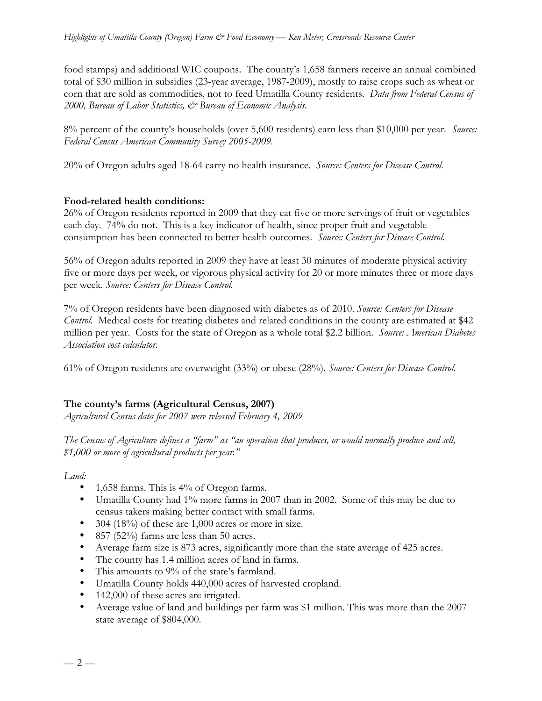food stamps) and additional WIC coupons. The county's 1,658 farmers receive an annual combined total of \$30 million in subsidies (23-year average, 1987-2009), mostly to raise crops such as wheat or corn that are sold as commodities, not to feed Umatilla County residents. *Data from Federal Census of 2000, Bureau of Labor Statistics, & Bureau of Economic Analysis.*

8% percent of the county's households (over 5,600 residents) earn less than \$10,000 per year. *Source: Federal Census American Community Survey 2005-2009.*

20% of Oregon adults aged 18-64 carry no health insurance. *Source: Centers for Disease Control.*

### **Food-related health conditions:**

26% of Oregon residents reported in 2009 that they eat five or more servings of fruit or vegetables each day. 74% do not. This is a key indicator of health, since proper fruit and vegetable consumption has been connected to better health outcomes. *Source: Centers for Disease Control.*

56% of Oregon adults reported in 2009 they have at least 30 minutes of moderate physical activity five or more days per week, or vigorous physical activity for 20 or more minutes three or more days per week. *Source: Centers for Disease Control.*

7% of Oregon residents have been diagnosed with diabetes as of 2010. *Source: Centers for Disease Control.* Medical costs for treating diabetes and related conditions in the county are estimated at \$42 million per year. Costs for the state of Oregon as a whole total \$2.2 billion. *Source: American Diabetes Association cost calculator.*

61% of Oregon residents are overweight (33%) or obese (28%). *Source: Centers for Disease Control.*

## **The county's farms (Agricultural Census, 2007)**

*Agricultural Census data for 2007 were released February 4, 2009*

*The Census of Agriculture defines a "farm" as "an operation that produces, or would normally produce and sell, \$1,000 or more of agricultural products per year."*

*Land:*

- 1,658 farms. This is 4% of Oregon farms.
- Umatilla County had 1% more farms in 2007 than in 2002. Some of this may be due to census takers making better contact with small farms.
- 304 (18%) of these are 1,000 acres or more in size.
- 857 (52%) farms are less than 50 acres.
- Average farm size is 873 acres, significantly more than the state average of 425 acres.
- The county has 1.4 million acres of land in farms.
- This amounts to 9% of the state's farmland.
- Umatilla County holds 440,000 acres of harvested cropland.
- 142,000 of these acres are irrigated.
- Average value of land and buildings per farm was \$1 million. This was more than the 2007 state average of \$804,000.

 $-2-$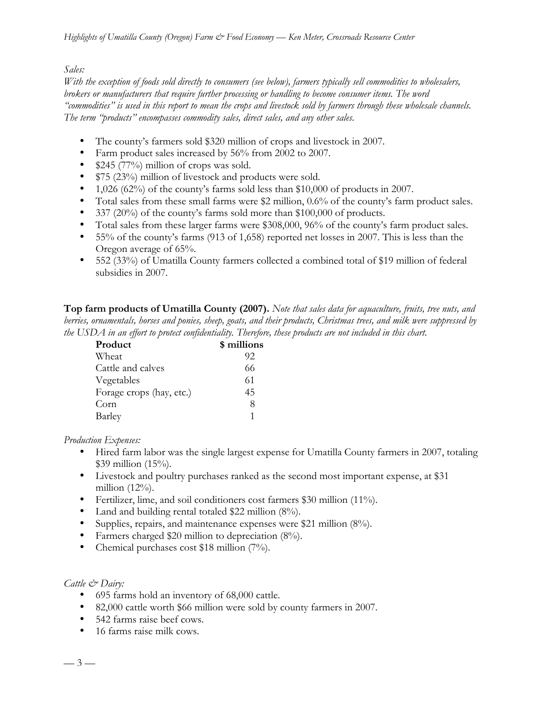## *Sales:*

*With the exception of foods sold directly to consumers (see below), farmers typically sell commodities to wholesalers, brokers or manufacturers that require further processing or handling to become consumer items. The word "commodities" is used in this report to mean the crops and livestock sold by farmers through these wholesale channels. The term "products" encompasses commodity sales, direct sales, and any other sales.*

- The county's farmers sold \$320 million of crops and livestock in 2007.
- Farm product sales increased by 56% from 2002 to 2007.
- \$245 (77%) million of crops was sold.
- \$75 (23%) million of livestock and products were sold.
- 1,026 (62%) of the county's farms sold less than \$10,000 of products in 2007.
- Total sales from these small farms were \$2 million, 0.6% of the county's farm product sales.
- 337 (20%) of the county's farms sold more than \$100,000 of products.
- Total sales from these larger farms were \$308,000, 96% of the county's farm product sales.
- 55% of the county's farms (913 of 1,658) reported net losses in 2007. This is less than the Oregon average of 65%.
- 552 (33%) of Umatilla County farmers collected a combined total of \$19 million of federal subsidies in 2007.

**Top farm products of Umatilla County (2007).** *Note that sales data for aquaculture, fruits, tree nuts, and berries, ornamentals, horses and ponies, sheep, goats, and their products, Christmas trees, and milk were suppressed by the USDA in an effort to protect confidentiality. Therefore, these products are not included in this chart.*

| Product                  | \$ millions |
|--------------------------|-------------|
| Wheat                    | 92          |
| Cattle and calves        | 66          |
| Vegetables               | 61          |
| Forage crops (hay, etc.) | 45          |
| Corn                     | 8           |
| Barley                   | 1           |

*Production Expenses:*

- Hired farm labor was the single largest expense for Umatilla County farmers in 2007, totaling \$39 million (15%).
- Livestock and poultry purchases ranked as the second most important expense, at \$31 million (12%).
- Fertilizer, lime, and soil conditioners cost farmers \$30 million (11%).
- Land and building rental totaled \$22 million (8%).
- Supplies, repairs, and maintenance expenses were \$21 million (8%).
- Farmers charged \$20 million to depreciation (8%).
- Chemical purchases cost \$18 million (7%).

## *Cattle & Dairy:*

- 695 farms hold an inventory of 68,000 cattle.
- 82,000 cattle worth \$66 million were sold by county farmers in 2007.
- 542 farms raise beef cows.
- 16 farms raise milk cows.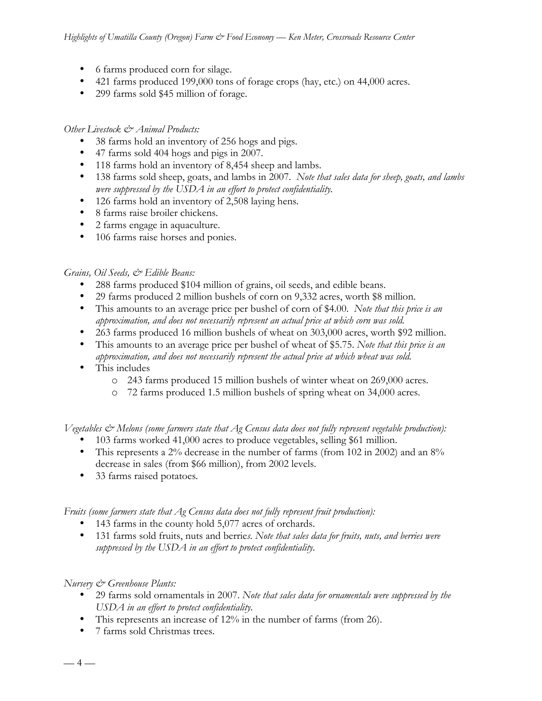- 6 farms produced corn for silage.
- 421 farms produced 199,000 tons of forage crops (hay, etc.) on 44,000 acres.
- 299 farms sold \$45 million of forage.

## *Other Livestock & Animal Products:*

- 38 farms hold an inventory of 256 hogs and pigs.
- 47 farms sold 404 hogs and pigs in 2007.
- 118 farms hold an inventory of 8,454 sheep and lambs.
- 138 farms sold sheep, goats, and lambs in 2007. *Note that sales data for sheep, goats, and lambs were suppressed by the USDA in an effort to protect confidentiality.*
- 126 farms hold an inventory of 2,508 laying hens*.*
- 8 farms raise broiler chickens.
- 2 farms engage in aquaculture.
- 106 farms raise horses and ponies.

## *Grains, Oil Seeds, & Edible Beans:*

- 288 farms produced \$104 million of grains, oil seeds, and edible beans.
- 29 farms produced 2 million bushels of corn on 9,332 acres, worth \$8 million.
- This amounts to an average price per bushel of corn of \$4.00. *Note that this price is an approximation, and does not necessarily represent an actual price at which corn was sold.*
- 263 farms produced 16 million bushels of wheat on 303,000 acres, worth \$92 million.
- This amounts to an average price per bushel of wheat of \$5.75. *Note that this price is an approximation, and does not necessarily represent the actual price at which wheat was sold.*
- This includes
	- o 243 farms produced 15 million bushels of winter wheat on 269,000 acres.
	- o 72 farms produced 1.5 million bushels of spring wheat on 34,000 acres.

*Vegetables & Melons (some farmers state that Ag Census data does not fully represent vegetable production):*

- 103 farms worked 41,000 acres to produce vegetables, selling \$61 million.
- This represents a 2% decrease in the number of farms (from 102 in 2002) and an 8% decrease in sales (from \$66 million), from 2002 levels.
- 33 farms raised potatoes*.*

*Fruits (some farmers state that Ag Census data does not fully represent fruit production):*

- 143 farms in the county hold 5,077 acres of orchards.
- 131 farms sold fruits, nuts and berrie*s. Note that sales data for fruits, nuts, and berries were suppressed by the USDA in an effort to protect confidentiality.*

## *Nursery & Greenhouse Plants:*

- 29 farms sold ornamentals in 2007. *Note that sales data for ornamentals were suppressed by the USDA in an effort to protect confidentiality.*
- This represents an increase of 12% in the number of farms (from 26).
- 7 farms sold Christmas trees.

 $-4-$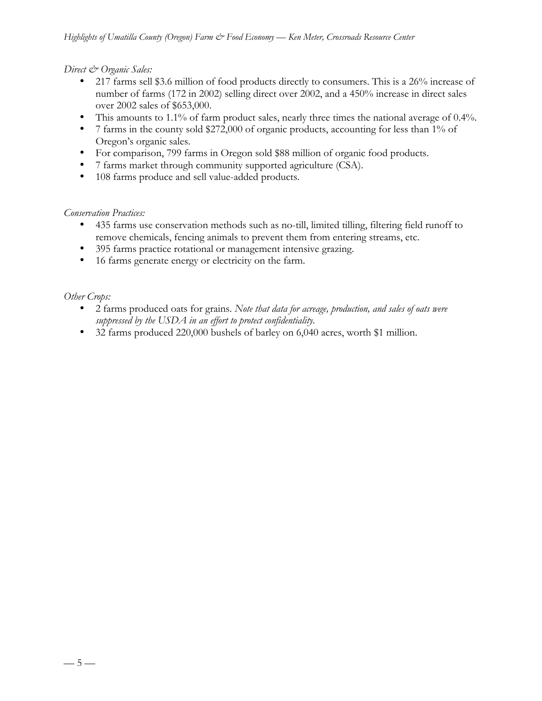*Direct & Organic Sales:*

- 217 farms sell \$3.6 million of food products directly to consumers. This is a 26% increase of number of farms (172 in 2002) selling direct over 2002, and a 450% increase in direct sales over 2002 sales of \$653,000.
- This amounts to 1.1% of farm product sales, nearly three times the national average of 0.4%.
- 7 farms in the county sold \$272,000 of organic products, accounting for less than 1% of Oregon's organic sales.
- For comparison, 799 farms in Oregon sold \$88 million of organic food products.
- 7 farms market through community supported agriculture (CSA).
- 108 farms produce and sell value-added products.

## *Conservation Practices:*

- 435 farms use conservation methods such as no-till, limited tilling, filtering field runoff to remove chemicals, fencing animals to prevent them from entering streams, etc.
- 395 farms practice rotational or management intensive grazing.
- 16 farms generate energy or electricity on the farm.

*Other Crops:*

- 2 farms produced oats for grains. *Note that data for acreage, production, and sales of oats were suppressed by the USDA in an effort to protect confidentiality.*
- 32 farms produced 220,000 bushels of barley on 6,040 acres, worth \$1 million.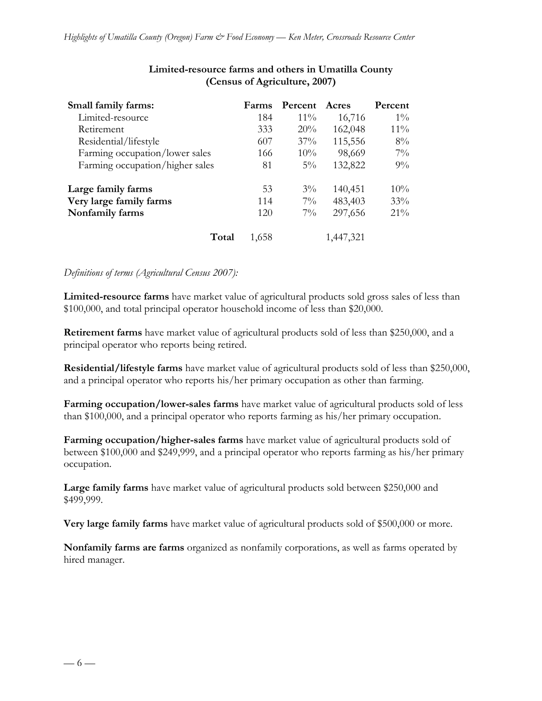| Small family farms:             | Farms | Percent | Acres     | Percent |
|---------------------------------|-------|---------|-----------|---------|
| Limited-resource                | 184   | $11\%$  | 16,716    | $1\%$   |
| Retirement                      | 333   | 20%     | 162,048   | $11\%$  |
| Residential/lifestyle           | 607   | 37%     | 115,556   | 8%      |
| Farming occupation/lower sales  | 166   | 10%     | 98,669    | $7\%$   |
| Farming occupation/higher sales | 81    | $5\%$   | 132,822   | 9%      |
| Large family farms              | 53    | $3\%$   | 140,451   | 10%     |
| Very large family farms         | 114   | $7\%$   | 483,403   | 33%     |
| Nonfamily farms                 | 120   | $7\%$   | 297,656   | 21%     |
| Total                           | 1,658 |         | 1,447,321 |         |

## **Limited-resource farms and others in Umatilla County (Census of Agriculture, 2007)**

### *Definitions of terms (Agricultural Census 2007):*

**Limited-resource farms** have market value of agricultural products sold gross sales of less than \$100,000, and total principal operator household income of less than \$20,000.

**Retirement farms** have market value of agricultural products sold of less than \$250,000, and a principal operator who reports being retired.

**Residential/lifestyle farms** have market value of agricultural products sold of less than \$250,000, and a principal operator who reports his/her primary occupation as other than farming.

**Farming occupation/lower-sales farms** have market value of agricultural products sold of less than \$100,000, and a principal operator who reports farming as his/her primary occupation.

**Farming occupation/higher-sales farms** have market value of agricultural products sold of between \$100,000 and \$249,999, and a principal operator who reports farming as his/her primary occupation.

**Large family farms** have market value of agricultural products sold between \$250,000 and \$499,999.

**Very large family farms** have market value of agricultural products sold of \$500,000 or more.

**Nonfamily farms are farms** organized as nonfamily corporations, as well as farms operated by hired manager.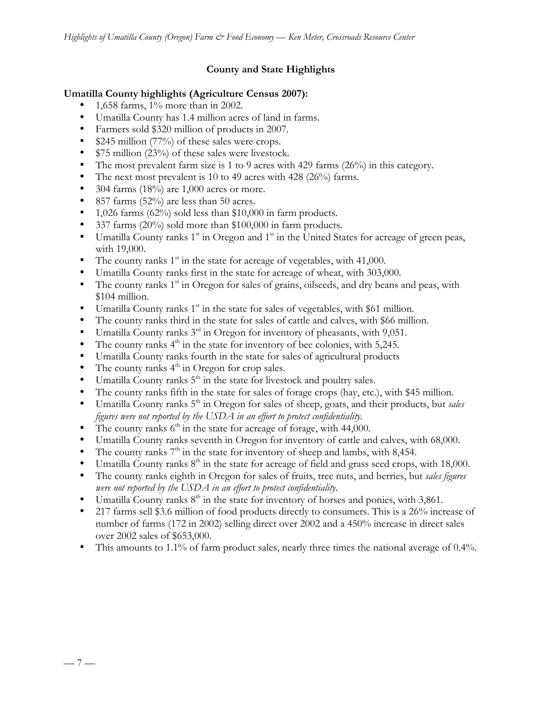## **County and State Highlights**

## **Umatilla County highlights (Agriculture Census 2007):**

- 1,658 farms, 1% more than in 2002.
- Umatilla County has 1.4 million acres of land in farms.
- Farmers sold \$320 million of products in 2007.
- \$245 million (77%) of these sales were crops.
- \$75 million (23%) of these sales were livestock.
- The most prevalent farm size is 1 to 9 acres with 429 farms (26%) in this category.
- The next most prevalent is 10 to 49 acres with 428 (26%) farms.
- 304 farms  $(18\%)$  are 1,000 acres or more.
- 857 farms (52%) are less than 50 acres.
- 1,026 farms  $(62\%)$  sold less than \$10,000 in farm products.
- 337 farms (20%) sold more than \$100,000 in farm products.
- Umatilla County ranks  $1<sup>st</sup>$  in Oregon and  $1<sup>st</sup>$  in the United States for acreage of green peas, with 19,000.
- The county ranks  $1<sup>st</sup>$  in the state for acreage of vegetables, with 41,000.
- Umatilla County ranks first in the state for acreage of wheat, with 303,000.
- The county ranks  $1<sup>st</sup>$  in Oregon for sales of grains, oilseeds, and dry beans and peas, with \$104 million.
- Umatilla County ranks  $1<sup>st</sup>$  in the state for sales of vegetables, with \$61 million.
- The county ranks third in the state for sales of cattle and calves, with \$66 million.
- Umatilla County ranks  $3<sup>rd</sup>$  in Oregon for inventory of pheasants, with 9,051.
- The county ranks  $4<sup>th</sup>$  in the state for inventory of bee colonies, with 5,245.
- Umatilla County ranks fourth in the state for sales of agricultural products
- The county ranks  $4<sup>th</sup>$  in Oregon for crop sales.
- Umatilla County ranks  $5<sup>th</sup>$  in the state for livestock and poultry sales.
- The county ranks fifth in the state for sales of forage crops (hay, etc.), with \$45 million.
- Umatilla County ranks 5<sup>th</sup> in Oregon for sales of sheep, goats, and their products, but *sales figures were not reported by the USDA in an effort to protect confidentiality.*
- The county ranks  $6<sup>th</sup>$  in the state for acreage of forage, with 44,000.
- Umatilla County ranks seventh in Oregon for inventory of cattle and calves, with 68,000.
- The county ranks  $7<sup>th</sup>$  in the state for inventory of sheep and lambs, with 8,454.
- Umatilla County ranks  $8<sup>th</sup>$  in the state for acreage of field and grass seed crops, with 18,000.
- The county ranks eighth in Oregon for sales of fruits, tree nuts, and berries, but *sales figures were not reported by the USDA in an effort to protect confidentiality.*
- Umatilla County ranks  $8<sup>th</sup>$  in the state for inventory of horses and ponies, with 3,861.
- 217 farms sell \$3.6 million of food products directly to consumers. This is a 26% increase of number of farms (172 in 2002) selling direct over 2002 and a 450% increase in direct sales over 2002 sales of \$653,000.
- This amounts to 1.1% of farm product sales, nearly three times the national average of 0.4%.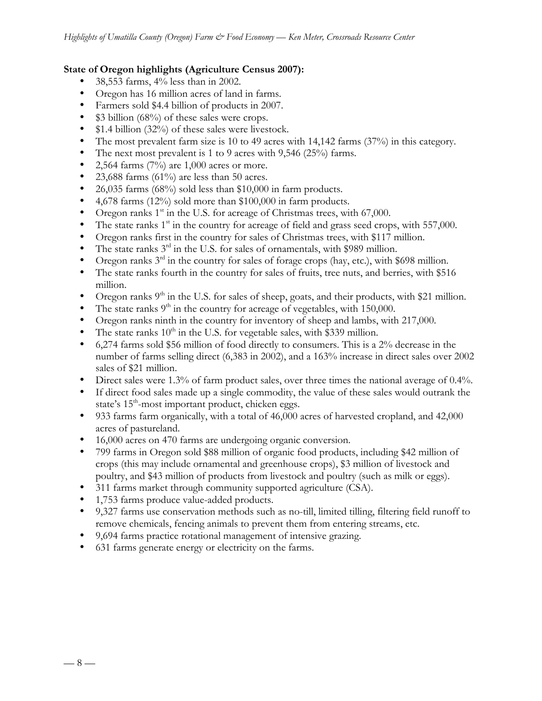## **State of Oregon highlights (Agriculture Census 2007):**

- 38,553 farms, 4% less than in 2002.
- Oregon has 16 million acres of land in farms.
- Farmers sold \$4.4 billion of products in 2007.
- \$3 billion (68%) of these sales were crops.
- \$1.4 billion (32%) of these sales were livestock.
- The most prevalent farm size is 10 to 49 acres with 14,142 farms (37%) in this category.
- The next most prevalent is 1 to 9 acres with 9,546 (25%) farms.<br>• 2.564 farms  $(7\%)$  are 1.000 acres or more.
- 2,564 farms  $(7%)$  are 1,000 acres or more.
- 23,688 farms (61%) are less than 50 acres.
- 26,035 farms (68%) sold less than \$10,000 in farm products.
- 4,678 farms (12%) sold more than \$100,000 in farm products.
- Oregon ranks  $1<sup>st</sup>$  in the U.S. for acreage of Christmas trees, with 67,000.
- The state ranks  $1<sup>st</sup>$  in the country for acreage of field and grass seed crops, with 557,000.
- Oregon ranks first in the country for sales of Christmas trees, with \$117 million.
- The state ranks  $3<sup>rd</sup>$  in the U.S. for sales of ornamentals, with \$989 million.
- Oregon ranks  $3<sup>rd</sup>$  in the country for sales of forage crops (hay, etc.), with \$698 million.
- The state ranks fourth in the country for sales of fruits, tree nuts, and berries, with \$516 million.
- Oregon ranks  $9<sup>th</sup>$  in the U.S. for sales of sheep, goats, and their products, with \$21 million.
- The state ranks  $9<sup>th</sup>$  in the country for acreage of vegetables, with 150,000.
- Oregon ranks ninth in the country for inventory of sheep and lambs, with 217,000.
- The state ranks  $10^{\text{th}}$  in the U.S. for vegetable sales, with \$339 million.
- 6,274 farms sold \$56 million of food directly to consumers. This is a 2% decrease in the number of farms selling direct (6,383 in 2002), and a 163% increase in direct sales over 2002 sales of \$21 million.
- Direct sales were 1.3% of farm product sales, over three times the national average of 0.4%.
- If direct food sales made up a single commodity, the value of these sales would outrank the state's  $15<sup>th</sup>$ -most important product, chicken eggs.
- 933 farms farm organically, with a total of 46,000 acres of harvested cropland, and 42,000 acres of pastureland.
- 16,000 acres on 470 farms are undergoing organic conversion.
- 799 farms in Oregon sold \$88 million of organic food products, including \$42 million of crops (this may include ornamental and greenhouse crops), \$3 million of livestock and poultry, and \$43 million of products from livestock and poultry (such as milk or eggs).
- 311 farms market through community supported agriculture (CSA).
- 1,753 farms produce value-added products.
- 9,327 farms use conservation methods such as no-till, limited tilling, filtering field runoff to remove chemicals, fencing animals to prevent them from entering streams, etc.
- 9,694 farms practice rotational management of intensive grazing.
- 631 farms generate energy or electricity on the farms.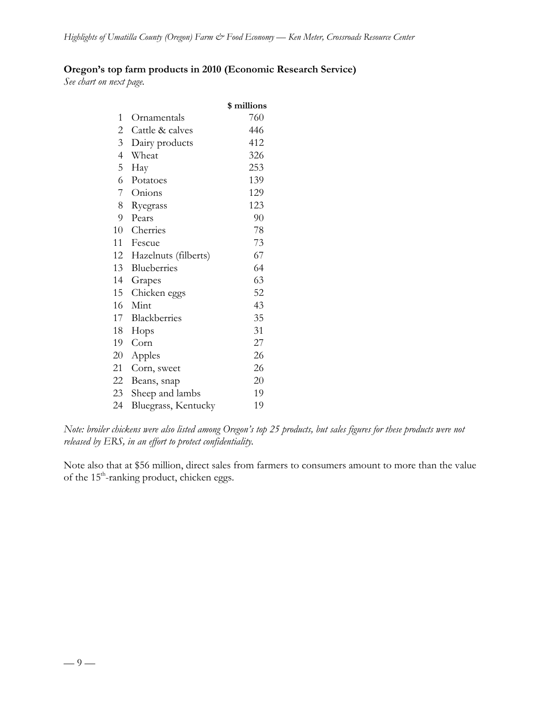## **Oregon's top farm products in 2010 (Economic Research Service)**

*See chart on next page.*

|                          |                      | \$ millions |
|--------------------------|----------------------|-------------|
| 1                        | Ornamentals          | 760         |
| $\overline{c}$           | Cattle & calves      | 446         |
| 3                        | Dairy products       | 412         |
| $\overline{\mathcal{A}}$ | Wheat                | 326         |
| 5                        | Hay                  | 253         |
| 6                        | Potatoes             | 139         |
| 7                        | Onions               | 129         |
| 8                        | Ryegrass             | 123         |
| 9                        | Pears                | 90          |
| 10                       | Cherries             | 78          |
| 11                       | Fescue               | 73          |
| 12                       | Hazelnuts (filberts) | 67          |
| 13                       | Blueberries          | 64          |
| 14                       | Grapes               | 63          |
| 15                       | Chicken eggs         | 52          |
| 16                       | Mint                 | 43          |
| 17                       | Blackberries         | 35          |
| 18                       | Hops                 | 31          |
| 19                       | Corn                 | 27          |
| 20                       | Apples               | 26          |
| 21                       | Corn, sweet          | 26          |
| 22                       | Beans, snap          | 20          |
| 23                       | Sheep and lambs      | 19          |
| 24                       | Bluegrass, Kentucky  | 19          |

*Note: broiler chickens were also listed among Oregon's top 25 products, but sales figures for these products were not released by ERS, in an effort to protect confidentiality.*

Note also that at \$56 million, direct sales from farmers to consumers amount to more than the value of the 15<sup>th</sup>-ranking product, chicken eggs.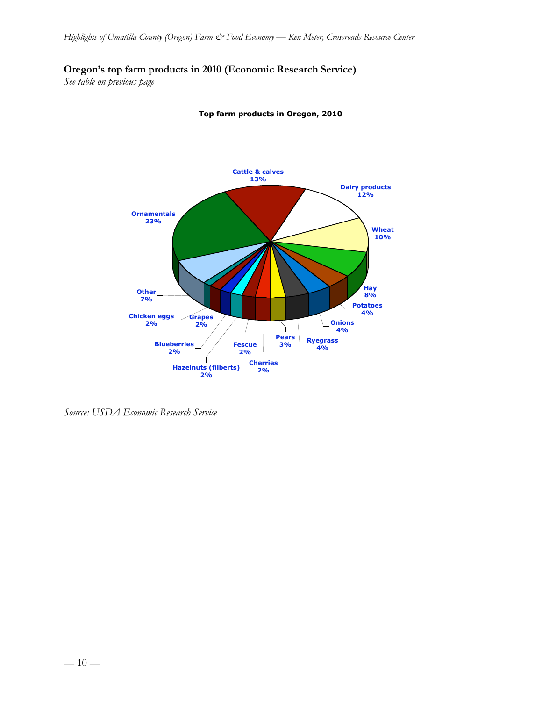## **Oregon's top farm products in 2010 (Economic Research Service)**

*See table on previous page*



**Top farm products in Oregon, 2010**

*Source: USDA Economic Research Service*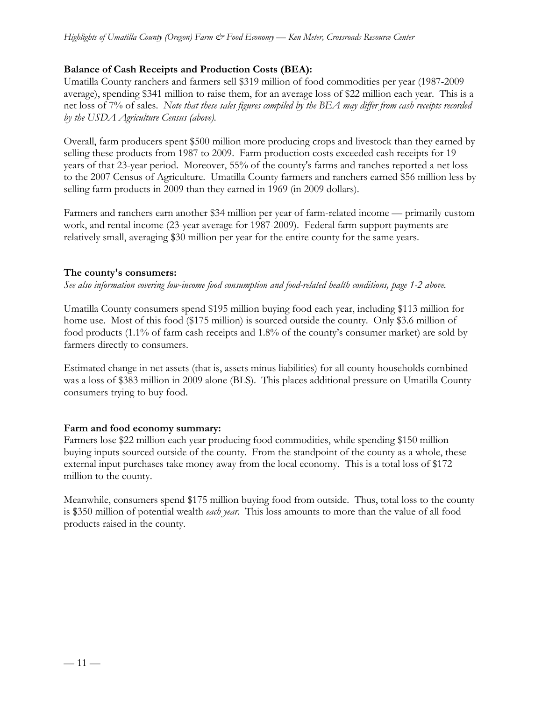## **Balance of Cash Receipts and Production Costs (BEA):**

Umatilla County ranchers and farmers sell \$319 million of food commodities per year (1987-2009 average), spending \$341 million to raise them, for an average loss of \$22 million each year. This is a net loss of 7% of sales. *Note that these sales figures compiled by the BEA may differ from cash receipts recorded by the USDA Agriculture Census (above).*

Overall, farm producers spent \$500 million more producing crops and livestock than they earned by selling these products from 1987 to 2009. Farm production costs exceeded cash receipts for 19 years of that 23-year period. Moreover, 55% of the county's farms and ranches reported a net loss to the 2007 Census of Agriculture. Umatilla County farmers and ranchers earned \$56 million less by selling farm products in 2009 than they earned in 1969 (in 2009 dollars).

Farmers and ranchers earn another \$34 million per year of farm-related income — primarily custom work, and rental income (23-year average for 1987-2009). Federal farm support payments are relatively small, averaging \$30 million per year for the entire county for the same years.

### **The county's consumers:**

*See also information covering low-income food consumption and food-related health conditions, page 1-2 above.*

Umatilla County consumers spend \$195 million buying food each year, including \$113 million for home use. Most of this food (\$175 million) is sourced outside the county. Only \$3.6 million of food products (1.1% of farm cash receipts and 1.8% of the county's consumer market) are sold by farmers directly to consumers.

Estimated change in net assets (that is, assets minus liabilities) for all county households combined was a loss of \$383 million in 2009 alone (BLS). This places additional pressure on Umatilla County consumers trying to buy food.

#### **Farm and food economy summary:**

Farmers lose \$22 million each year producing food commodities, while spending \$150 million buying inputs sourced outside of the county. From the standpoint of the county as a whole, these external input purchases take money away from the local economy. This is a total loss of \$172 million to the county.

Meanwhile, consumers spend \$175 million buying food from outside. Thus, total loss to the county is \$350 million of potential wealth *each year*. This loss amounts to more than the value of all food products raised in the county.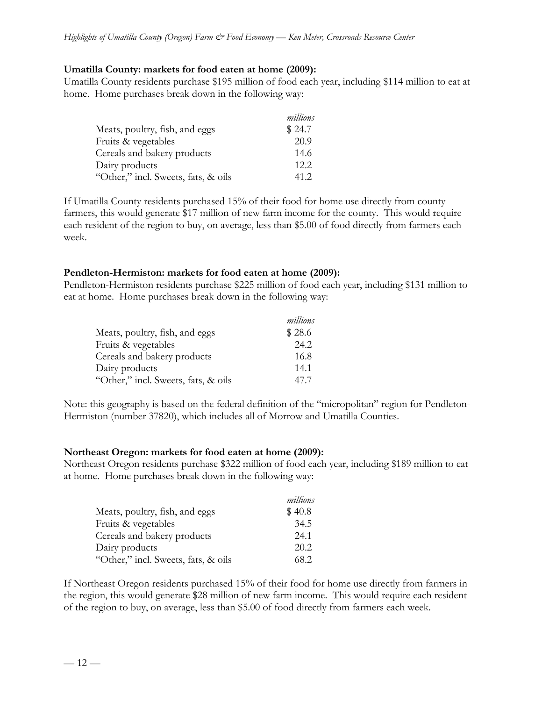### **Umatilla County: markets for food eaten at home (2009):**

Umatilla County residents purchase \$195 million of food each year, including \$114 million to eat at home. Home purchases break down in the following way:

|                                     | millions |
|-------------------------------------|----------|
| Meats, poultry, fish, and eggs      | \$24.7   |
| Fruits & vegetables                 | 20.9     |
| Cereals and bakery products         | 14.6     |
| Dairy products                      | 12.2.    |
| "Other," incl. Sweets, fats, & oils | 41.2     |

If Umatilla County residents purchased 15% of their food for home use directly from county farmers, this would generate \$17 million of new farm income for the county. This would require each resident of the region to buy, on average, less than \$5.00 of food directly from farmers each week.

### **Pendleton-Hermiston: markets for food eaten at home (2009):**

Pendleton-Hermiston residents purchase \$225 million of food each year, including \$131 million to eat at home. Home purchases break down in the following way:

|                                     | millions |
|-------------------------------------|----------|
| Meats, poultry, fish, and eggs      | \$28.6   |
| Fruits & vegetables                 | 24.2     |
| Cereals and bakery products         | 16.8     |
| Dairy products                      | 14.1     |
| "Other," incl. Sweets, fats, & oils | 47.7     |

Note: this geography is based on the federal definition of the "micropolitan" region for Pendleton-Hermiston (number 37820), which includes all of Morrow and Umatilla Counties.

#### **Northeast Oregon: markets for food eaten at home (2009):**

Northeast Oregon residents purchase \$322 million of food each year, including \$189 million to eat at home. Home purchases break down in the following way:

|                                     | millions |
|-------------------------------------|----------|
| Meats, poultry, fish, and eggs      | \$40.8   |
| Fruits & vegetables                 | 34.5     |
| Cereals and bakery products         | 24.1     |
| Dairy products                      | 20.2     |
| "Other," incl. Sweets, fats, & oils | 68.2     |

If Northeast Oregon residents purchased 15% of their food for home use directly from farmers in the region, this would generate \$28 million of new farm income. This would require each resident of the region to buy, on average, less than \$5.00 of food directly from farmers each week.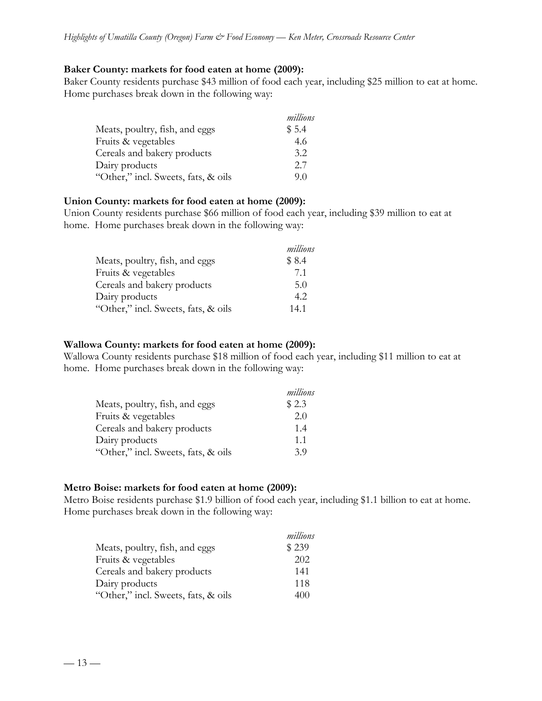### **Baker County: markets for food eaten at home (2009):**

Baker County residents purchase \$43 million of food each year, including \$25 million to eat at home. Home purchases break down in the following way:

|                                     | millions |
|-------------------------------------|----------|
| Meats, poultry, fish, and eggs      | \$5.4    |
| Fruits & vegetables                 | 4.6      |
| Cereals and bakery products         | 3.2      |
| Dairy products                      | 2.7      |
| "Other," incl. Sweets, fats, & oils | 9.0      |

### **Union County: markets for food eaten at home (2009):**

Union County residents purchase \$66 million of food each year, including \$39 million to eat at home. Home purchases break down in the following way:

|                                     | millions |
|-------------------------------------|----------|
| Meats, poultry, fish, and eggs      | \$8.4    |
| Fruits & vegetables                 | 7.1      |
| Cereals and bakery products         | 5.0      |
| Dairy products                      | 4.2      |
| "Other," incl. Sweets, fats, & oils | 14.1     |

### **Wallowa County: markets for food eaten at home (2009):**

Wallowa County residents purchase \$18 million of food each year, including \$11 million to eat at home. Home purchases break down in the following way:

|                                     | millions |
|-------------------------------------|----------|
| Meats, poultry, fish, and eggs      | \$2.3    |
| Fruits & vegetables                 | 2.0      |
| Cereals and bakery products         | 1.4      |
| Dairy products                      | 1.1      |
| "Other," incl. Sweets, fats, & oils | 39       |

## **Metro Boise: markets for food eaten at home (2009):**

Metro Boise residents purchase \$1.9 billion of food each year, including \$1.1 billion to eat at home. Home purchases break down in the following way:

|                                     | millions |
|-------------------------------------|----------|
| Meats, poultry, fish, and eggs      | \$239    |
| Fruits & vegetables                 | 202      |
| Cereals and bakery products         | 141      |
| Dairy products                      | 118      |
| "Other," incl. Sweets, fats, & oils | 400      |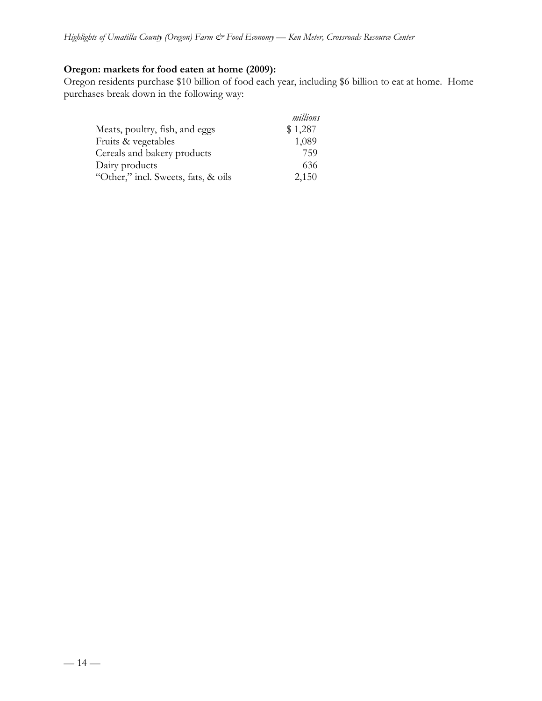# **Oregon: markets for food eaten at home (2009):**

Oregon residents purchase \$10 billion of food each year, including \$6 billion to eat at home. Home purchases break down in the following way:

|                                     | millions |
|-------------------------------------|----------|
| Meats, poultry, fish, and eggs      | \$1,287  |
| Fruits & vegetables                 | 1,089    |
| Cereals and bakery products         | 759      |
| Dairy products                      | 636      |
| "Other," incl. Sweets, fats, & oils | 2,150    |